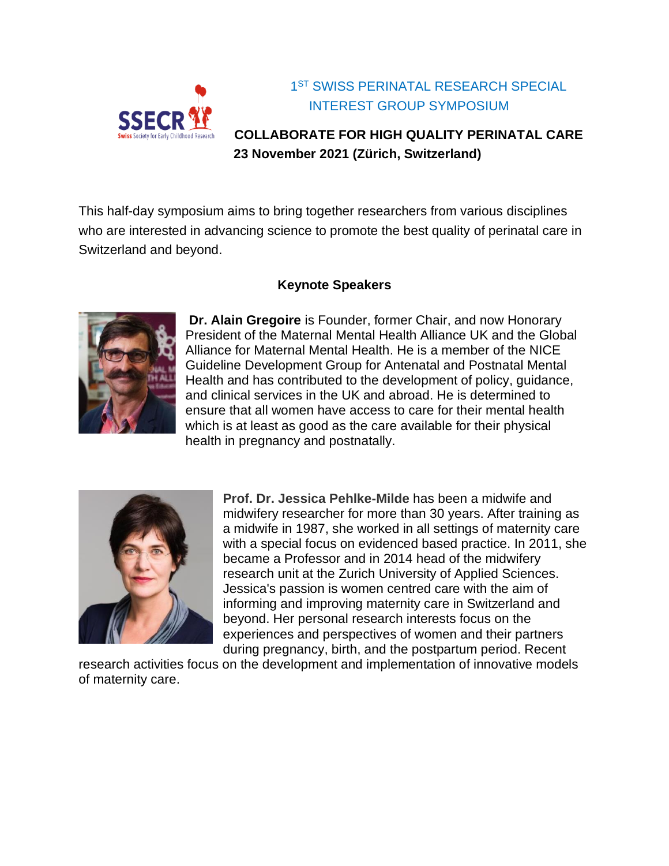

### 1 ST SWISS PERINATAL RESEARCH SPECIAL INTEREST GROUP SYMPOSIUM

## **COLLABORATE FOR HIGH QUALITY PERINATAL CARE 23 November 2021 (Zürich, Switzerland)**

This half-day symposium aims to bring together researchers from various disciplines who are interested in advancing science to promote the best quality of perinatal care in Switzerland and beyond.

#### **Keynote Speakers**



**Dr. Alain Gregoire** is Founder, former Chair, and now Honorary President of the Maternal Mental Health Alliance UK and the Global Alliance for Maternal Mental Health. He is a member of the NICE Guideline Development Group for Antenatal and Postnatal Mental Health and has contributed to the development of policy, guidance, and clinical services in the UK and abroad. He is determined to ensure that all women have access to care for their mental health which is at least as good as the care available for their physical health in pregnancy and postnatally.



**Prof. Dr. Jessica Pehlke-Milde** has been a midwife and midwifery researcher for more than 30 years. After training as a midwife in 1987, she worked in all settings of maternity care with a special focus on evidenced based practice. In 2011, she became a Professor and in 2014 head of the midwifery research unit at the Zurich University of Applied Sciences. Jessica's passion is women centred care with the aim of informing and improving maternity care in Switzerland and beyond. Her personal research interests focus on the experiences and perspectives of women and their partners during pregnancy, birth, and the postpartum period. Recent

research activities focus on the development and implementation of innovative models of maternity care.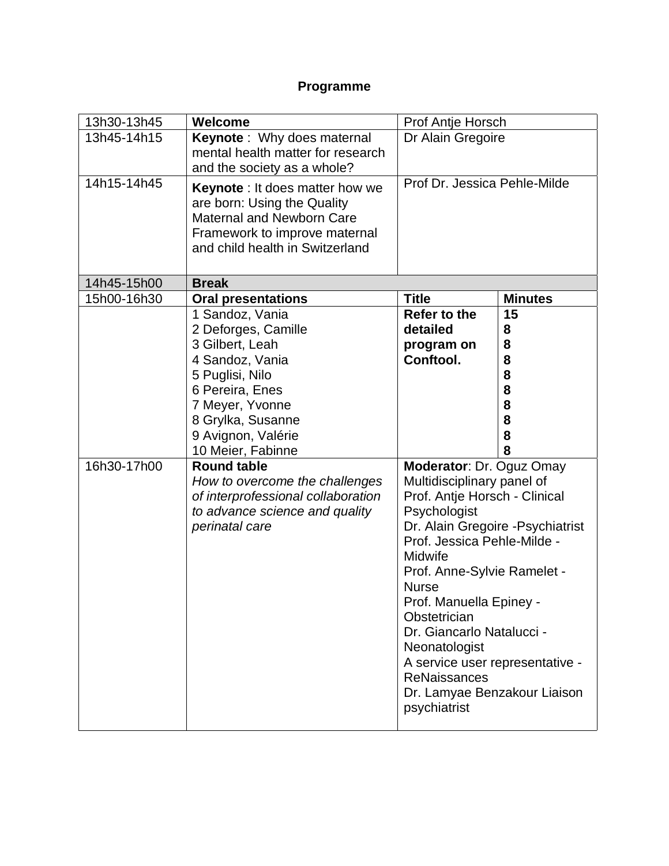# **Programme**

| 13h30-13h45 | Welcome                                                                                                                                                                       | Prof Antje Horsch                                                                                                                                                                                                                                                                                                                                                                                                                        |                |
|-------------|-------------------------------------------------------------------------------------------------------------------------------------------------------------------------------|------------------------------------------------------------------------------------------------------------------------------------------------------------------------------------------------------------------------------------------------------------------------------------------------------------------------------------------------------------------------------------------------------------------------------------------|----------------|
| 13h45-14h15 | <b>Keynote</b> : Why does maternal<br>mental health matter for research<br>and the society as a whole?                                                                        | Dr Alain Gregoire                                                                                                                                                                                                                                                                                                                                                                                                                        |                |
| 14h15-14h45 | <b>Keynote</b> : It does matter how we<br>are born: Using the Quality<br><b>Maternal and Newborn Care</b><br>Framework to improve maternal<br>and child health in Switzerland | Prof Dr. Jessica Pehle-Milde                                                                                                                                                                                                                                                                                                                                                                                                             |                |
| 14h45-15h00 | <b>Break</b>                                                                                                                                                                  |                                                                                                                                                                                                                                                                                                                                                                                                                                          |                |
| 15h00-16h30 | <b>Oral presentations</b>                                                                                                                                                     | <b>Title</b>                                                                                                                                                                                                                                                                                                                                                                                                                             | <b>Minutes</b> |
|             | 1 Sandoz, Vania                                                                                                                                                               | <b>Refer to the</b><br>detailed                                                                                                                                                                                                                                                                                                                                                                                                          | 15             |
|             | 2 Deforges, Camille<br>3 Gilbert, Leah                                                                                                                                        |                                                                                                                                                                                                                                                                                                                                                                                                                                          | 8<br>8         |
|             | 4 Sandoz, Vania                                                                                                                                                               | program on<br>Conftool.                                                                                                                                                                                                                                                                                                                                                                                                                  | 8              |
|             | 5 Puglisi, Nilo                                                                                                                                                               |                                                                                                                                                                                                                                                                                                                                                                                                                                          | 8              |
|             | 6 Pereira, Enes                                                                                                                                                               |                                                                                                                                                                                                                                                                                                                                                                                                                                          | 8              |
|             | 7 Meyer, Yvonne                                                                                                                                                               |                                                                                                                                                                                                                                                                                                                                                                                                                                          | 8              |
|             | 8 Grylka, Susanne                                                                                                                                                             |                                                                                                                                                                                                                                                                                                                                                                                                                                          | 8              |
|             | 9 Avignon, Valérie                                                                                                                                                            |                                                                                                                                                                                                                                                                                                                                                                                                                                          | 8              |
|             | 10 Meier, Fabinne                                                                                                                                                             |                                                                                                                                                                                                                                                                                                                                                                                                                                          | 8              |
| 16h30-17h00 | <b>Round table</b><br>How to overcome the challenges<br>of interprofessional collaboration<br>to advance science and quality<br>perinatal care                                | Moderator: Dr. Oguz Omay<br>Multidisciplinary panel of<br>Prof. Antje Horsch - Clinical<br>Psychologist<br>Dr. Alain Gregoire - Psychiatrist<br>Prof. Jessica Pehle-Milde -<br>Midwife<br>Prof. Anne-Sylvie Ramelet -<br><b>Nurse</b><br>Prof. Manuella Epiney -<br>Obstetrician<br>Dr. Giancarlo Natalucci -<br>Neonatologist<br>A service user representative -<br><b>ReNaissances</b><br>Dr. Lamyae Benzakour Liaison<br>psychiatrist |                |